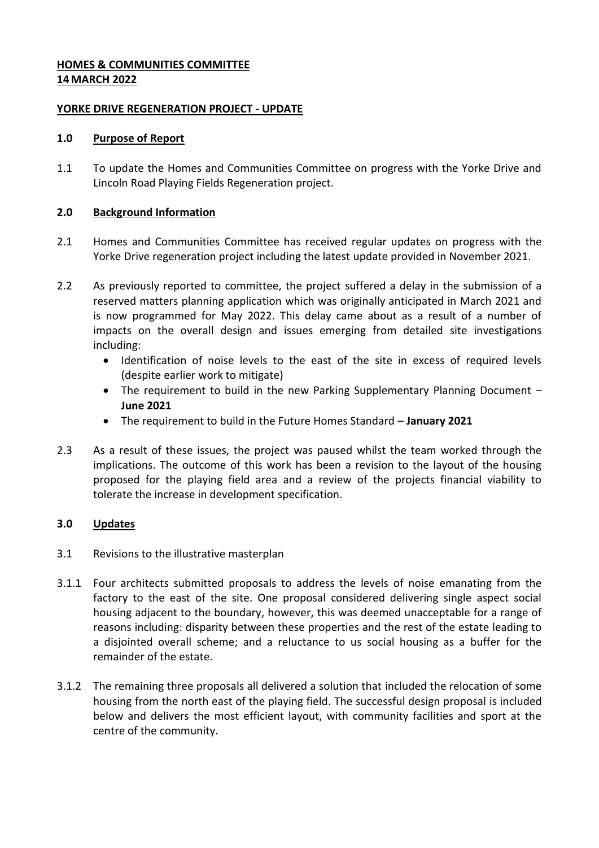### **HOMES & COMMUNITIES COMMITTEE 14 MARCH 2022**

#### **YORKE DRIVE REGENERATION PROJECT - UPDATE**

#### **1.0 Purpose of Report**

1.1 To update the Homes and Communities Committee on progress with the Yorke Drive and Lincoln Road Playing Fields Regeneration project.

### **2.0 Background Information**

- 2.1 Homes and Communities Committee has received regular updates on progress with the Yorke Drive regeneration project including the latest update provided in November 2021.
- 2.2 As previously reported to committee, the project suffered a delay in the submission of a reserved matters planning application which was originally anticipated in March 2021 and is now programmed for May 2022. This delay came about as a result of a number of impacts on the overall design and issues emerging from detailed site investigations including:
	- Identification of noise levels to the east of the site in excess of required levels (despite earlier work to mitigate)
	- The requirement to build in the new Parking Supplementary Planning Document **June 2021**
	- The requirement to build in the Future Homes Standard **January 2021**
- 2.3 As a result of these issues, the project was paused whilst the team worked through the implications. The outcome of this work has been a revision to the layout of the housing proposed for the playing field area and a review of the projects financial viability to tolerate the increase in development specification.

## **3.0 Updates**

- 3.1 Revisions to the illustrative masterplan
- 3.1.1 Four architects submitted proposals to address the levels of noise emanating from the factory to the east of the site. One proposal considered delivering single aspect social housing adjacent to the boundary, however, this was deemed unacceptable for a range of reasons including: disparity between these properties and the rest of the estate leading to a disjointed overall scheme; and a reluctance to us social housing as a buffer for the remainder of the estate.
- 3.1.2 The remaining three proposals all delivered a solution that included the relocation of some housing from the north east of the playing field. The successful design proposal is included below and delivers the most efficient layout, with community facilities and sport at the centre of the community.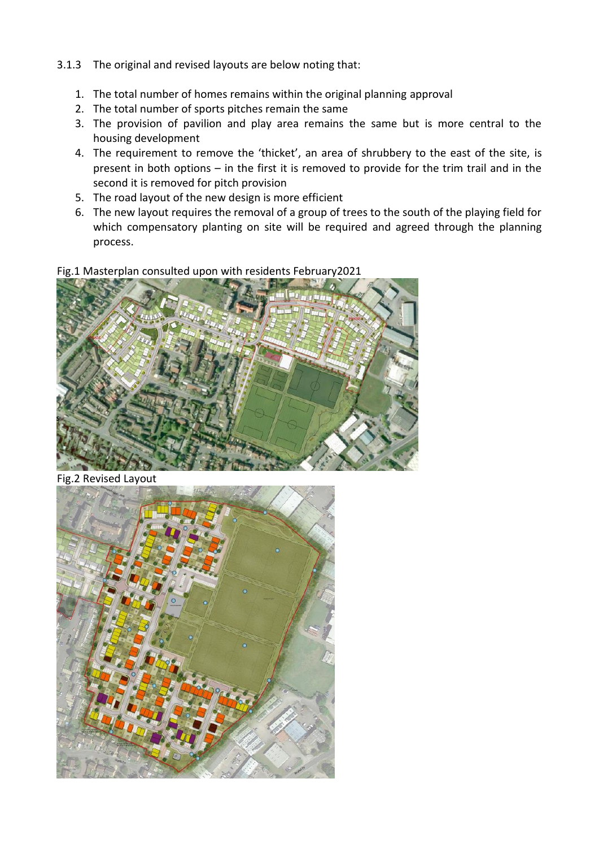- 3.1.3 The original and revised layouts are below noting that:
	- 1. The total number of homes remains within the original planning approval
	- 2. The total number of sports pitches remain the same
	- 3. The provision of pavilion and play area remains the same but is more central to the housing development
	- 4. The requirement to remove the 'thicket', an area of shrubbery to the east of the site, is present in both options – in the first it is removed to provide for the trim trail and in the second it is removed for pitch provision
	- 5. The road layout of the new design is more efficient
	- 6. The new layout requires the removal of a group of trees to the south of the playing field for which compensatory planting on site will be required and agreed through the planning process.

Fig.1 Masterplan consulted upon with residents February2021



Fig.2 Revised Layout

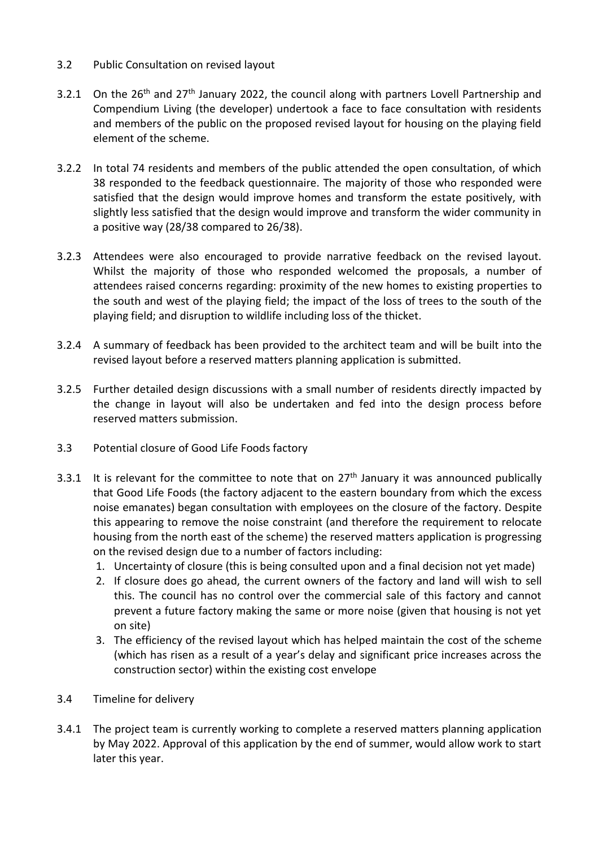- 3.2 Public Consultation on revised layout
- 3.2.1 On the  $26<sup>th</sup>$  and  $27<sup>th</sup>$  January 2022, the council along with partners Lovell Partnership and Compendium Living (the developer) undertook a face to face consultation with residents and members of the public on the proposed revised layout for housing on the playing field element of the scheme.
- 3.2.2 In total 74 residents and members of the public attended the open consultation, of which 38 responded to the feedback questionnaire. The majority of those who responded were satisfied that the design would improve homes and transform the estate positively, with slightly less satisfied that the design would improve and transform the wider community in a positive way (28/38 compared to 26/38).
- 3.2.3 Attendees were also encouraged to provide narrative feedback on the revised layout. Whilst the majority of those who responded welcomed the proposals, a number of attendees raised concerns regarding: proximity of the new homes to existing properties to the south and west of the playing field; the impact of the loss of trees to the south of the playing field; and disruption to wildlife including loss of the thicket.
- 3.2.4 A summary of feedback has been provided to the architect team and will be built into the revised layout before a reserved matters planning application is submitted.
- 3.2.5 Further detailed design discussions with a small number of residents directly impacted by the change in layout will also be undertaken and fed into the design process before reserved matters submission.
- 3.3 Potential closure of Good Life Foods factory
- 3.3.1 It is relevant for the committee to note that on  $27<sup>th</sup>$  January it was announced publically that Good Life Foods (the factory adjacent to the eastern boundary from which the excess noise emanates) began consultation with employees on the closure of the factory. Despite this appearing to remove the noise constraint (and therefore the requirement to relocate housing from the north east of the scheme) the reserved matters application is progressing on the revised design due to a number of factors including:
	- 1. Uncertainty of closure (this is being consulted upon and a final decision not yet made)
	- 2. If closure does go ahead, the current owners of the factory and land will wish to sell this. The council has no control over the commercial sale of this factory and cannot prevent a future factory making the same or more noise (given that housing is not yet on site)
	- 3. The efficiency of the revised layout which has helped maintain the cost of the scheme (which has risen as a result of a year's delay and significant price increases across the construction sector) within the existing cost envelope
- 3.4 Timeline for delivery
- 3.4.1 The project team is currently working to complete a reserved matters planning application by May 2022. Approval of this application by the end of summer, would allow work to start later this year.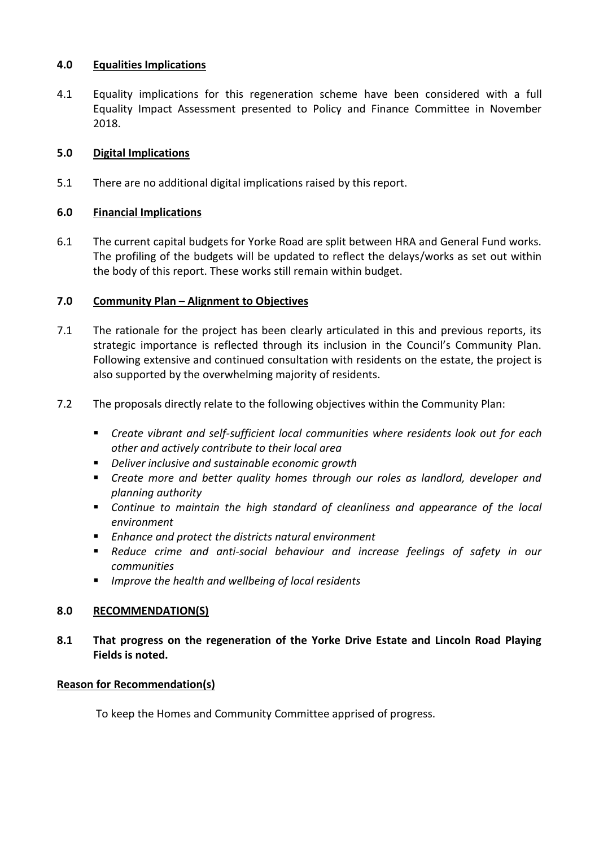#### **4.0 Equalities Implications**

4.1 Equality implications for this regeneration scheme have been considered with a full Equality Impact Assessment presented to Policy and Finance Committee in November 2018.

### **5.0 Digital Implications**

5.1 There are no additional digital implications raised by this report.

### **6.0 Financial Implications**

6.1 The current capital budgets for Yorke Road are split between HRA and General Fund works. The profiling of the budgets will be updated to reflect the delays/works as set out within the body of this report. These works still remain within budget.

### **7.0 Community Plan – Alignment to Objectives**

- 7.1 The rationale for the project has been clearly articulated in this and previous reports, its strategic importance is reflected through its inclusion in the Council's Community Plan. Following extensive and continued consultation with residents on the estate, the project is also supported by the overwhelming majority of residents.
- 7.2 The proposals directly relate to the following objectives within the Community Plan:
	- *Create vibrant and self-sufficient local communities where residents look out for each other and actively contribute to their local area*
	- *Deliver inclusive and sustainable economic growth*
	- *Create more and better quality homes through our roles as landlord, developer and planning authority*
	- *Continue to maintain the high standard of cleanliness and appearance of the local environment*
	- *Enhance and protect the districts natural environment*
	- **Reduce crime and anti-social behaviour and increase feelings of safety in our** *communities*
	- *Improve the health and wellbeing of local residents*

## **8.0 RECOMMENDATION(S)**

**8.1 That progress on the regeneration of the Yorke Drive Estate and Lincoln Road Playing Fields is noted.**

## **Reason for Recommendation(s)**

To keep the Homes and Community Committee apprised of progress.